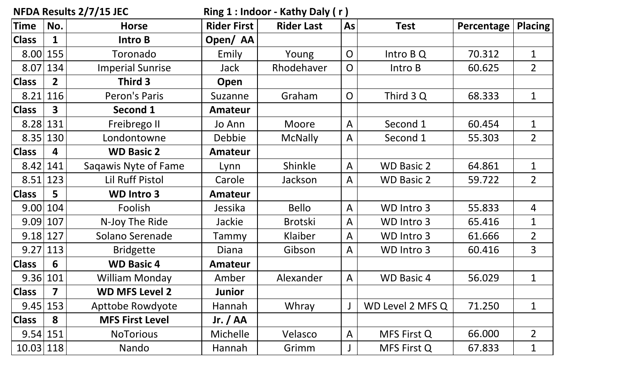| NFDA Results 2/7/15 JEC |                |                         | Ring 1: Indoor - Kathy Daly (r) |                   |                         |                   |            |                |
|-------------------------|----------------|-------------------------|---------------------------------|-------------------|-------------------------|-------------------|------------|----------------|
| <b>Time</b>             | No.            | <b>Horse</b>            | <b>Rider First</b>              | <b>Rider Last</b> | <b>As</b>               | <b>Test</b>       | Percentage | <b>Placing</b> |
| <b>Class</b>            | 1              | <b>Intro B</b>          | Open/AA                         |                   |                         |                   |            |                |
| 8.00                    | 155            | Toronado                | Emily                           | Young             | $\overline{O}$          | Intro B Q         | 70.312     | $\mathbf 1$    |
| 8.07                    | 134            | <b>Imperial Sunrise</b> | Jack                            | Rhodehaver        | $\overline{O}$          | Intro B           | 60.625     | 2 <sup>1</sup> |
| <b>Class</b>            | $\overline{2}$ | Third 3                 | Open                            |                   |                         |                   |            |                |
| 8.21                    | 116            | Peron's Paris           | Suzanne                         | Graham            | $\overline{O}$          | Third 3 Q         | 68.333     | $\mathbf 1$    |
| <b>Class</b>            | 3              | Second 1                | <b>Amateur</b>                  |                   |                         |                   |            |                |
| 8.28                    | 131            | Freibrego II            | Jo Ann                          | Moore             | $\overline{\mathsf{A}}$ | Second 1          | 60.454     | $\mathbf 1$    |
| 8.35                    | 130            | Londontowne             | <b>Debbie</b>                   | <b>McNally</b>    | $\mathsf{A}$            | Second 1          | 55.303     | $2^{\circ}$    |
| <b>Class</b>            | 4              | <b>WD Basic 2</b>       | <b>Amateur</b>                  |                   |                         |                   |            |                |
| 8.42                    | 141            | Sagawis Nyte of Fame    | Lynn                            | Shinkle           | $\mathsf{A}$            | <b>WD Basic 2</b> | 64.861     | $\mathbf 1$    |
| 8.51                    | 123            | <b>Lil Ruff Pistol</b>  | Carole                          | Jackson           | $\mathsf{A}$            | <b>WD Basic 2</b> | 59.722     | $2^{\circ}$    |
| <b>Class</b>            | 5              | <b>WD Intro 3</b>       | <b>Amateur</b>                  |                   |                         |                   |            |                |
| 9.00                    | 104            | Foolish                 | Jessika                         | <b>Bello</b>      | $\overline{A}$          | WD Intro 3        | 55.833     | $\overline{4}$ |
| 9.09                    | 107            | N-Joy The Ride          | Jackie                          | <b>Brotski</b>    | $\mathsf{A}$            | WD Intro 3        | 65.416     | $\mathbf 1$    |
| 9.18                    | 127            | Solano Serenade         | Tammy                           | Klaiber           | $\overline{\mathsf{A}}$ | WD Intro 3        | 61.666     | $\overline{2}$ |
| 9.27                    | 113            | <b>Bridgette</b>        | Diana                           | Gibson            | $\mathsf{A}$            | WD Intro 3        | 60.416     | 3              |
| <b>Class</b>            | 6              | <b>WD Basic 4</b>       | Amateur                         |                   |                         |                   |            |                |
| 9.36                    | 101            | <b>William Monday</b>   | Amber                           | Alexander         | $\mathsf{A}$            | <b>WD Basic 4</b> | 56.029     | $\mathbf 1$    |
| <b>Class</b>            | 7              | <b>WD MFS Level 2</b>   | <b>Junior</b>                   |                   |                         |                   |            |                |
| 9.45                    | 153            | Apttobe Rowdyote        | Hannah                          | Whray             |                         | WD Level 2 MFS Q  | 71.250     | 1              |
| <b>Class</b>            | 8              | <b>MFS First Level</b>  | Jr. $/$ AA                      |                   |                         |                   |            |                |
| 9.54 151                |                | <b>NoTorious</b>        | <b>Michelle</b>                 | Velasco           | $\mathsf{A}$            | MFS First Q       | 66.000     | $\overline{2}$ |
| 10.03                   | 118            | Nando                   | Hannah                          | Grimm             |                         | MFS First Q       | 67.833     | $\mathbf{1}$   |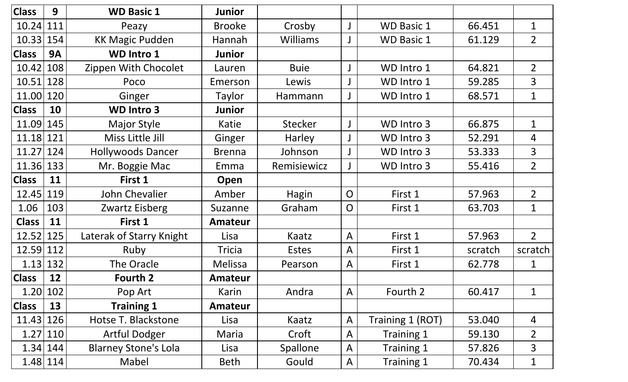| <b>Class</b> | 9         | <b>WD Basic 1</b>           | <b>Junior</b>  |                 |                |                   |         |                |
|--------------|-----------|-----------------------------|----------------|-----------------|----------------|-------------------|---------|----------------|
| 10.24        | 111       | Peazy                       | <b>Brooke</b>  | Crosby          |                | <b>WD Basic 1</b> | 66.451  | $\mathbf 1$    |
| 10.33        | 154       | <b>KK Magic Pudden</b>      | Hannah         | <b>Williams</b> |                | <b>WD Basic 1</b> | 61.129  | $\overline{2}$ |
| <b>Class</b> | <b>9A</b> | <b>WD Intro 1</b>           | <b>Junior</b>  |                 |                |                   |         |                |
| 10.42        | 108       | Zippen With Chocolet        | Lauren         | <b>Buie</b>     |                | WD Intro 1        | 64.821  | 2 <sup>1</sup> |
| 10.51        | 128       | Poco                        | Emerson        | Lewis           |                | WD Intro 1        | 59.285  | 3              |
| 11.00        | 120       | Ginger                      | Taylor         | Hammann         |                | WD Intro 1        | 68.571  | $\mathbf 1$    |
| <b>Class</b> | 10        | <b>WD Intro 3</b>           | <b>Junior</b>  |                 |                |                   |         |                |
| 11.09        | 145       | <b>Major Style</b>          | Katie          | <b>Stecker</b>  |                | WD Intro 3        | 66.875  | $\mathbf{1}$   |
| 11.18        | 121       | Miss Little Jill            | Ginger         | <b>Harley</b>   |                | WD Intro 3        | 52.291  | 4              |
| 11.27        | 124       | <b>Hollywoods Dancer</b>    | <b>Brenna</b>  | Johnson         |                | WD Intro 3        | 53.333  | 3              |
| 11.36        | 133       | Mr. Boggie Mac              | Emma           | Remisiewicz     |                | WD Intro 3        | 55.416  | $\overline{2}$ |
| <b>Class</b> | 11        | First 1                     | Open           |                 |                |                   |         |                |
| 12.45        | 119       | John Chevalier              | Amber          | Hagin           | $\mathsf{O}$   | First 1           | 57.963  | $\overline{2}$ |
| 1.06         | 103       | Zwartz Eisberg              | Suzanne        | Graham          | O              | First 1           | 63.703  | 1              |
| <b>Class</b> | 11        | First 1                     | <b>Amateur</b> |                 |                |                   |         |                |
| 12.52        | 125       | Laterak of Starry Knight    | Lisa           | Kaatz           | $\overline{A}$ | First 1           | 57.963  | 2 <sup>1</sup> |
| 12.59        | 112       | Ruby                        | <b>Tricia</b>  | Estes           | $\overline{A}$ | First 1           | scratch | scratch        |
| $1.13$ 132   |           | The Oracle                  | <b>Melissa</b> | Pearson         | $\mathsf{A}$   | First 1           | 62.778  | 1              |
| <b>Class</b> | 12        | Fourth 2                    | <b>Amateur</b> |                 |                |                   |         |                |
| 1.20 102     |           | Pop Art                     | Karin          | Andra           | $\mathsf{A}$   | Fourth 2          | 60.417  | $\mathbf 1$    |
| <b>Class</b> | 13        | <b>Training 1</b>           | <b>Amateur</b> |                 |                |                   |         |                |
| 11.43 126    |           | Hotse T. Blackstone         | Lisa           | Kaatz           | $\mathsf{A}$   | Training 1 (ROT)  | 53.040  | $\overline{4}$ |
| 1.27 110     |           | <b>Artful Dodger</b>        | Maria          | Croft           | $\mathsf{A}$   | Training 1        | 59.130  | $\overline{2}$ |
| 1.34 144     |           | <b>Blarney Stone's Lola</b> | Lisa           | <b>Spallone</b> | $\mathsf{A}$   | Training 1        | 57.826  | 3              |
| $1.48$   114 |           | Mabel                       | Beth           | Gould           | $\mathsf{A}$   | Training 1        | 70.434  | $\mathbf{1}$   |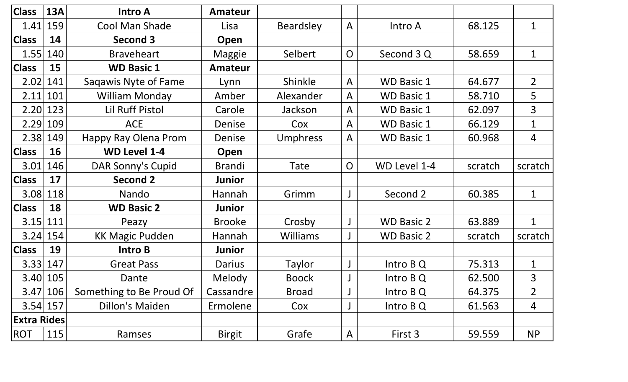| <b>Class</b>       | <b>13A</b> | <b>Intro A</b>           | <b>Amateur</b> |                  |                |                   |         |                |
|--------------------|------------|--------------------------|----------------|------------------|----------------|-------------------|---------|----------------|
| 1.41               | 159        | Cool Man Shade           | Lisa           | <b>Beardsley</b> | $\overline{A}$ | Intro A           | 68.125  | $\mathbf{1}$   |
| <b>Class</b>       | 14         | <b>Second 3</b>          | Open           |                  |                |                   |         |                |
| 1.55               | 140        | <b>Braveheart</b>        | Maggie         | Selbert          | $\overline{O}$ | Second 3 Q        | 58.659  | $\mathbf{1}$   |
| <b>Class</b>       | 15         | <b>WD Basic 1</b>        | <b>Amateur</b> |                  |                |                   |         |                |
| 2.02               | 141        | Sagawis Nyte of Fame     | Lynn           | Shinkle          | $\mathsf{A}$   | <b>WD Basic 1</b> | 64.677  | $\overline{2}$ |
| 2.11               | 101        | <b>William Monday</b>    | Amber          | Alexander        | A              | <b>WD Basic 1</b> | 58.710  | 5              |
| 2.20               | 123        | <b>Lil Ruff Pistol</b>   | Carole         | Jackson          | A              | <b>WD Basic 1</b> | 62.097  | $\overline{3}$ |
| 2.29               | 109        | <b>ACE</b>               | Denise         | Cox              | A              | <b>WD Basic 1</b> | 66.129  | $\mathbf{1}$   |
| 2.38               | 149        | Happy Ray Olena Prom     | Denise         | <b>Umphress</b>  | A              | <b>WD Basic 1</b> | 60.968  | 4              |
| <b>Class</b>       | 16         | <b>WD Level 1-4</b>      | Open           |                  |                |                   |         |                |
| 3.01               | 146        | DAR Sonny's Cupid        | <b>Brandi</b>  | Tate             | $\overline{O}$ | WD Level 1-4      | scratch | scratch        |
| <b>Class</b>       | 17         | <b>Second 2</b>          | Junior         |                  |                |                   |         |                |
| 3.08               | 118        | Nando                    | Hannah         | Grimm            |                | Second 2          | 60.385  | $\mathbf{1}$   |
| <b>Class</b>       | 18         | <b>WD Basic 2</b>        | <b>Junior</b>  |                  |                |                   |         |                |
| 3.15               | 111        | Peazy                    | <b>Brooke</b>  | Crosby           |                | <b>WD Basic 2</b> | 63.889  | $\mathbf{1}$   |
| 3.24               | 154        | <b>KK Magic Pudden</b>   | Hannah         | <b>Williams</b>  |                | <b>WD Basic 2</b> | scratch | scratch        |
| <b>Class</b>       | 19         | <b>Intro B</b>           | <b>Junior</b>  |                  |                |                   |         |                |
| 3.33               | 147        | <b>Great Pass</b>        | Darius         | Taylor           |                | Intro B Q         | 75.313  | $\mathbf 1$    |
| 3.40 105           |            | Dante                    | Melody         | <b>Boock</b>     |                | Intro B Q         | 62.500  | 3              |
|                    | 3.47 106   | Something to Be Proud Of | Cassandre      | <b>Broad</b>     |                | Intro B Q         | 64.375  | $\overline{2}$ |
| $3.54$   157       |            | <b>Dillon's Maiden</b>   | Ermolene       | Cox              |                | Intro B Q         | 61.563  | 4              |
| <b>Extra Rides</b> |            |                          |                |                  |                |                   |         |                |
| <b>ROT</b>         | 115        | Ramses                   | <b>Birgit</b>  | Grafe            | A              | First 3           | 59.559  | <b>NP</b>      |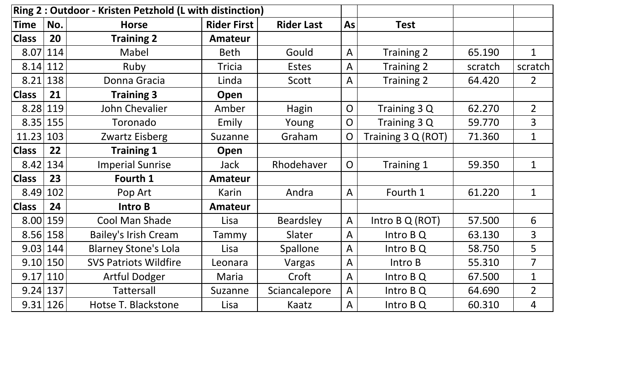|              | Ring 2 : Outdoor - Kristen Petzhold (L with distinction) |                              |                    |                   |                |                    |         |                |
|--------------|----------------------------------------------------------|------------------------------|--------------------|-------------------|----------------|--------------------|---------|----------------|
| Time         | No.                                                      | <b>Horse</b>                 | <b>Rider First</b> | <b>Rider Last</b> | As             | <b>Test</b>        |         |                |
| <b>Class</b> | 20                                                       | <b>Training 2</b>            | <b>Amateur</b>     |                   |                |                    |         |                |
| 8.07         | 114                                                      | Mabel                        | <b>Beth</b>        | Gould             | $\mathsf{A}$   | Training 2         | 65.190  | $\mathbf{1}$   |
| $8.14$   112 |                                                          | Ruby                         | <b>Tricia</b>      | <b>Estes</b>      | $\overline{A}$ | Training 2         | scratch | scratch        |
| 8.21         | 138                                                      | Donna Gracia                 | Linda              | Scott             | $\overline{A}$ | Training 2         | 64.420  | $\overline{2}$ |
| <b>Class</b> | 21                                                       | <b>Training 3</b>            | Open               |                   |                |                    |         |                |
| 8.28 119     |                                                          | John Chevalier               | Amber              | Hagin             | $\overline{O}$ | Training 3 Q       | 62.270  | $\overline{2}$ |
| 8.35         | 155                                                      | Toronado                     | Emily              | Young             | $\overline{O}$ | Training 3 Q       | 59.770  | $\overline{3}$ |
| 11.23        | 103                                                      | Zwartz Eisberg               | Suzanne            | Graham            | $\overline{O}$ | Training 3 Q (ROT) | 71.360  | $\mathbf{1}$   |
| <b>Class</b> | 22                                                       | <b>Training 1</b>            | Open               |                   |                |                    |         |                |
| 8.42         | 134                                                      | <b>Imperial Sunrise</b>      | <b>Jack</b>        | Rhodehaver        | $\overline{O}$ | Training 1         | 59.350  | $\mathbf{1}$   |
| <b>Class</b> | 23                                                       | Fourth 1                     | <b>Amateur</b>     |                   |                |                    |         |                |
| 8.49         | 102                                                      | Pop Art                      | Karin              | Andra             | $\bigwedge$    | Fourth 1           | 61.220  | $\mathbf{1}$   |
| <b>Class</b> | 24                                                       | <b>Intro B</b>               | <b>Amateur</b>     |                   |                |                    |         |                |
| 8.00 159     |                                                          | Cool Man Shade               | Lisa               | <b>Beardsley</b>  | $\overline{A}$ | Intro B Q (ROT)    | 57.500  | 6              |
| 8.56 158     |                                                          | <b>Bailey's Irish Cream</b>  | Tammy              | Slater            | $\mathsf{A}$   | Intro B Q          | 63.130  | $\overline{3}$ |
| $9.03$ 144   |                                                          | <b>Blarney Stone's Lola</b>  | Lisa               | Spallone          | $\mathsf{A}$   | Intro B Q          | 58.750  | 5              |
| 9.10 150     |                                                          | <b>SVS Patriots Wildfire</b> | Leonara            | Vargas            | $\mathsf{A}$   | Intro B            | 55.310  | $\overline{7}$ |
| $9.17$ 110   |                                                          | <b>Artful Dodger</b>         | Maria              | Croft             | $\mathsf{A}$   | Intro B Q          | 67.500  | $\mathbf{1}$   |
| 9.24 137     |                                                          | <b>Tattersall</b>            | Suzanne            | Sciancalepore     | $\overline{A}$ | Intro B Q          | 64.690  | $\overline{2}$ |
| 9.31 126     |                                                          | Hotse T. Blackstone          | Lisa               | Kaatz             | $\bigwedge$    | Intro B Q          | 60.310  | $\overline{4}$ |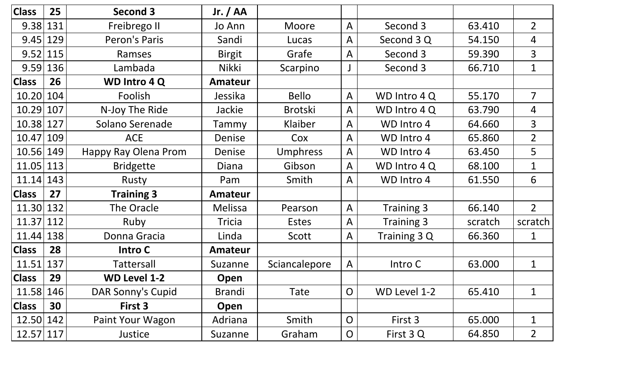| <b>Class</b> | 25  | Second 3             | Jr. $/$ AA     |                 |                         |              |         |                |
|--------------|-----|----------------------|----------------|-----------------|-------------------------|--------------|---------|----------------|
| 9.38         | 131 | Freibrego II         | Jo Ann         | Moore           | $\overline{\mathsf{A}}$ | Second 3     | 63.410  | $2^{\circ}$    |
| 9.45         | 129 | Peron's Paris        | Sandi          | Lucas           | $\mathsf{A}$            | Second 3 Q   | 54.150  | 4              |
| 9.52         | 115 | Ramses               | <b>Birgit</b>  | Grafe           | A                       | Second 3     | 59.390  | $\overline{3}$ |
| 9.59         | 136 | Lambada              | <b>Nikki</b>   | Scarpino        |                         | Second 3     | 66.710  | $\mathbf 1$    |
| <b>Class</b> | 26  | <b>WD Intro 4 Q</b>  | <b>Amateur</b> |                 |                         |              |         |                |
| 10.20        | 104 | Foolish              | Jessika        | <b>Bello</b>    | $\mathsf{A}$            | WD Intro 4 Q | 55.170  | $\overline{7}$ |
| 10.29        | 107 | N-Joy The Ride       | Jackie         | <b>Brotski</b>  | $\overline{A}$          | WD Intro 4 Q | 63.790  | $\overline{4}$ |
| 10.38        | 127 | Solano Serenade      | Tammy          | Klaiber         | $\overline{\mathsf{A}}$ | WD Intro 4   | 64.660  | 3              |
| 10.47        | 109 | <b>ACE</b>           | Denise         | Cox             | $\mathsf{A}$            | WD Intro 4   | 65.860  | $\overline{2}$ |
| 10.56        | 149 | Happy Ray Olena Prom | Denise         | <b>Umphress</b> | $\mathsf{A}$            | WD Intro 4   | 63.450  | 5              |
| 11.05        | 113 | <b>Bridgette</b>     | Diana          | Gibson          | A                       | WD Intro 4 Q | 68.100  | $\mathbf 1$    |
| 11.14        | 143 | Rusty                | Pam            | Smith           | A                       | WD Intro 4   | 61.550  | 6              |
| <b>Class</b> | 27  | <b>Training 3</b>    | Amateur        |                 |                         |              |         |                |
| 11.30        | 132 | The Oracle           | Melissa        | Pearson         | $\overline{A}$          | Training 3   | 66.140  | $\overline{2}$ |
| 11.37        | 112 | Ruby                 | <b>Tricia</b>  | <b>Estes</b>    | $\overline{A}$          | Training 3   | scratch | scratch        |
| 11.44        | 138 | Donna Gracia         | Linda          | Scott           | $\mathsf{A}$            | Training 3 Q | 66.360  | 1              |
| <b>Class</b> | 28  | Intro C              | <b>Amateur</b> |                 |                         |              |         |                |
| 11.51        | 137 | <b>Tattersall</b>    | Suzanne        | Sciancalepore   | $\mathsf{A}$            | Intro C      | 63.000  | 1              |
| <b>Class</b> | 29  | <b>WD Level 1-2</b>  | Open           |                 |                         |              |         |                |
| 11.58   146  |     | DAR Sonny's Cupid    | <b>Brandi</b>  | Tate            | $\mathsf{O}$            | WD Level 1-2 | 65.410  | 1              |
| <b>Class</b> | 30  | First 3              | Open           |                 |                         |              |         |                |
| 12.50 142    |     | Paint Your Wagon     | Adriana        | Smith           | $\overline{O}$          | First 3      | 65.000  | 1              |
| 12.57 117    |     | Justice              | Suzanne        | Graham          | $\overline{O}$          | First 3 Q    | 64.850  | $\overline{2}$ |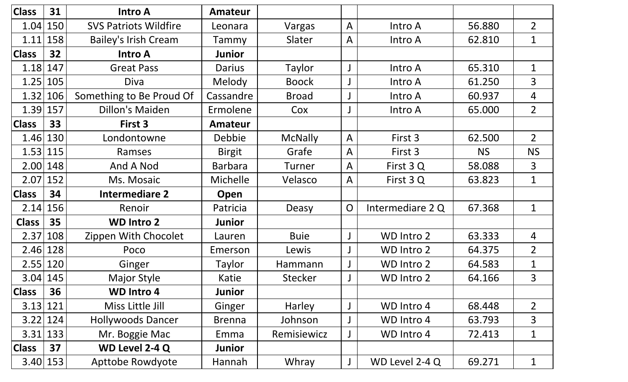| <b>Class</b> | 31  | <b>Intro A</b>               | <b>Amateur</b> |                |                         |                   |           |                |
|--------------|-----|------------------------------|----------------|----------------|-------------------------|-------------------|-----------|----------------|
| 1.04         | 150 | <b>SVS Patriots Wildfire</b> | Leonara        | Vargas         | $\overline{\mathsf{A}}$ | Intro A           | 56.880    | $\overline{2}$ |
| 1.11         | 158 | <b>Bailey's Irish Cream</b>  | Tammy          | Slater         | $\mathsf{A}$            | Intro A           | 62.810    | 1              |
| <b>Class</b> | 32  | <b>Intro A</b>               | <b>Junior</b>  |                |                         |                   |           |                |
| 1.18         | 147 | <b>Great Pass</b>            | Darius         | Taylor         |                         | Intro A           | 65.310    | $\mathbf 1$    |
| 1.25         | 105 | Diva                         | Melody         | <b>Boock</b>   |                         | Intro A           | 61.250    | $\overline{3}$ |
| 1.32         | 106 | Something to Be Proud Of     | Cassandre      | <b>Broad</b>   |                         | Intro A           | 60.937    | $\overline{4}$ |
| $1.39$ 157   |     | <b>Dillon's Maiden</b>       | Ermolene       | Cox            |                         | Intro A           | 65.000    | $2^{\circ}$    |
| <b>Class</b> | 33  | First 3                      | <b>Amateur</b> |                |                         |                   |           |                |
| 1.46         | 130 | Londontowne                  | Debbie         | <b>McNally</b> | $\overline{\mathsf{A}}$ | First 3           | 62.500    | $2^{\circ}$    |
| $1.53$ 115   |     | Ramses                       | <b>Birgit</b>  | Grafe          | $\mathsf{A}$            | First 3           | <b>NS</b> | <b>NS</b>      |
| 2.00         | 148 | And A Nod                    | <b>Barbara</b> | Turner         | $\overline{\mathsf{A}}$ | First 3 Q         | 58.088    | 3              |
| 2.07         | 152 | Ms. Mosaic                   | Michelle       | Velasco        | $\overline{\mathsf{A}}$ | First 3 Q         | 63.823    | $\mathbf{1}$   |
| <b>Class</b> | 34  | <b>Intermediare 2</b>        | Open           |                |                         |                   |           |                |
| 2.14         | 156 | Renoir                       | Patricia       | Deasy          | $\overline{O}$          | Intermediare 2 Q  | 67.368    | $\mathbf 1$    |
| <b>Class</b> | 35  | <b>WD Intro 2</b>            | <b>Junior</b>  |                |                         |                   |           |                |
|              |     |                              |                |                |                         |                   |           |                |
| 2.37         | 108 | Zippen With Chocolet         | Lauren         | <b>Buie</b>    |                         | WD Intro 2        | 63.333    | $\overline{4}$ |
| 2.46         | 128 | Poco                         | Emerson        | Lewis          |                         | WD Intro 2        | 64.375    | $\overline{2}$ |
| 2.55         | 120 | Ginger                       | Taylor         | Hammann        |                         | WD Intro 2        | 64.583    | 1              |
| $3.04$ 145   |     | <b>Major Style</b>           | Katie          | <b>Stecker</b> |                         | <b>WD Intro 2</b> | 64.166    | 3              |
| <b>Class</b> | 36  | <b>WD Intro 4</b>            | <b>Junior</b>  |                |                         |                   |           |                |
| 3.13         | 121 | Miss Little Jill             | Ginger         | Harley         |                         | WD Intro 4        | 68.448    | $\overline{2}$ |
| 3.22         | 124 | <b>Hollywoods Dancer</b>     | <b>Brenna</b>  | Johnson        |                         | WD Intro 4        | 63.793    | 3              |
| 3.31         | 133 | Mr. Boggie Mac               | Emma           | Remisiewicz    |                         | WD Intro 4        | 72.413    | $\mathbf 1$    |
| <b>Class</b> | 37  | <b>WD Level 2-4 Q</b>        | <b>Junior</b>  |                |                         |                   |           |                |